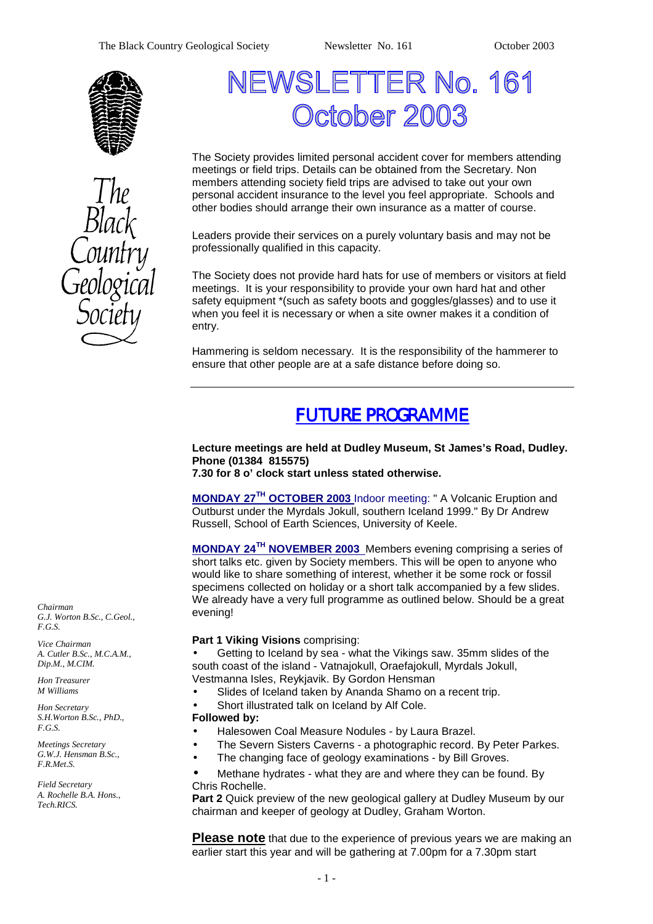



# NEWSLETTER No. 161 **October 2003**

The Society provides limited personal accident cover for members attending meetings or field trips. Details can be obtained from the Secretary. Non members attending society field trips are advised to take out your own personal accident insurance to the level you feel appropriate. Schools and other bodies should arrange their own insurance as a matter of course.

Leaders provide their services on a purely voluntary basis and may not be professionally qualified in this capacity.

The Society does not provide hard hats for use of members or visitors at field meetings. It is your responsibility to provide your own hard hat and other safety equipment \*(such as safety boots and goggles/glasses) and to use it when you feel it is necessary or when a site owner makes it a condition of entry.

Hammering is seldom necessary. It is the responsibility of the hammerer to ensure that other people are at a safe distance before doing so.

# *FUTURE PROGRAMME*

#### **Lecture meetings are held at Dudley Museum, St James's Road, Dudley. Phone (01384 815575) 7.30 for 8 o' clock start unless stated otherwise.**

**MONDAY 27TH OCTOBER 2003** Indoor meeting: " A Volcanic Eruption and Outburst under the Myrdals Jokull, southern Iceland 1999." By Dr Andrew Russell, School of Earth Sciences, University of Keele.

**MONDAY 24TH NOVEMBER 2003** Members evening comprising a series of short talks etc. given by Society members. This will be open to anyone who would like to share something of interest, whether it be some rock or fossil specimens collected on holiday or a short talk accompanied by a few slides. We already have a very full programme as outlined below. Should be a great evening!

#### **Part 1 Viking Visions** comprising:

• Getting to Iceland by sea - what the Vikings saw. 35mm slides of the south coast of the island - Vatnajokull, Oraefajokull, Myrdals Jokull, Vestmanna Isles, Reykjavik. By Gordon Hensman

Slides of Iceland taken by Ananda Shamo on a recent trip.

Short illustrated talk on Iceland by Alf Cole.

#### **Followed by:**

• Halesowen Coal Measure Nodules - by Laura Brazel.

- The Severn Sisters Caverns a photographic record. By Peter Parkes.
- The changing face of geology examinations by Bill Groves.

• Methane hydrates - what they are and where they can be found. By Chris Rochelle.

**Part 2** Quick preview of the new geological gallery at Dudley Museum by our chairman and keeper of geology at Dudley, Graham Worton.

**Please note** that due to the experience of previous years we are making an earlier start this year and will be gathering at 7.00pm for a 7.30pm start

*Chairman G.J. Worton B.Sc., C.Geol., F.G.S.* 

*Vice Chairman A. Cutler B.Sc., M.C.A.M., Dip.M., M.CIM.* 

*Hon Treasurer M Williams* 

*Hon Secretary S.H.Worton B.Sc., PhD., F.G.S.* 

*Meetings Secretary G.W.J. Hensman B.Sc., F.R.Met.S.* 

*Field Secretary A. Rochelle B.A. Hons., Tech.RICS.*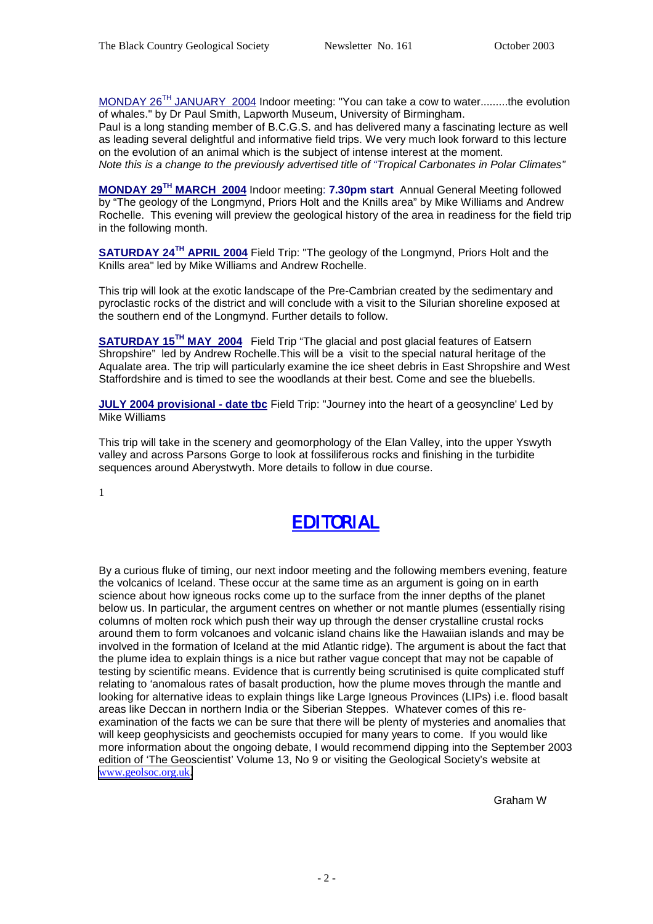MONDAY 26<sup>TH</sup> JANUARY 2004 Indoor meeting: "You can take a cow to water.........the evolution of whales." by Dr Paul Smith, Lapworth Museum, University of Birmingham.

Paul is a long standing member of B.C.G.S. and has delivered many a fascinating lecture as well as leading several delightful and informative field trips. We very much look forward to this lecture on the evolution of an animal which is the subject of intense interest at the moment. *Note this is a change to the previously advertised title of "Tropical Carbonates in Polar Climates"* 

**MONDAY 29TH MARCH 2004** Indoor meeting: **7.30pm start** Annual General Meeting followed by "The geology of the Longmynd, Priors Holt and the Knills area" by Mike Williams and Andrew Rochelle. This evening will preview the geological history of the area in readiness for the field trip in the following month.

**SATURDAY 24<sup>TH</sup> APRIL 2004** Field Trip: "The geology of the Longmynd, Priors Holt and the Knills area" led by Mike Williams and Andrew Rochelle.

This trip will look at the exotic landscape of the Pre-Cambrian created by the sedimentary and pyroclastic rocks of the district and will conclude with a visit to the Silurian shoreline exposed at the southern end of the Longmynd. Further details to follow.

**SATURDAY 15TH MAY 2004** Field Trip "The glacial and post glacial features of Eatsern Shropshire" led by Andrew Rochelle.This will be a visit to the special natural heritage of the Aqualate area. The trip will particularly examine the ice sheet debris in East Shropshire and West Staffordshire and is timed to see the woodlands at their best. Come and see the bluebells.

**JULY 2004 provisional - date tbc** Field Trip: "Journey into the heart of a geosyncline' Led by Mike Williams

This trip will take in the scenery and geomorphology of the Elan Valley, into the upper Yswyth valley and across Parsons Gorge to look at fossiliferous rocks and finishing in the turbidite sequences around Aberystwyth. More details to follow in due course.

1



By a curious fluke of timing, our next indoor meeting and the following members evening, feature the volcanics of Iceland. These occur at the same time as an argument is going on in earth science about how igneous rocks come up to the surface from the inner depths of the planet below us. In particular, the argument centres on whether or not mantle plumes (essentially rising columns of molten rock which push their way up through the denser crystalline crustal rocks around them to form volcanoes and volcanic island chains like the Hawaiian islands and may be involved in the formation of Iceland at the mid Atlantic ridge). The argument is about the fact that the plume idea to explain things is a nice but rather vague concept that may not be capable of testing by scientific means. Evidence that is currently being scrutinised is quite complicated stuff relating to 'anomalous rates of basalt production, how the plume moves through the mantle and looking for alternative ideas to explain things like Large Igneous Provinces (LIPs) i.e. flood basalt areas like Deccan in northern India or the Siberian Steppes. Whatever comes of this reexamination of the facts we can be sure that there will be plenty of mysteries and anomalies that will keep geophysicists and geochemists occupied for many years to come. If you would like more information about the ongoing debate, I would recommend dipping into the September 2003 edition of 'The Geoscientist' Volume 13, No 9 or visiting the Geological Society's website at [www.geolsoc.org.uk](http://www.geolsoc.org.uk/).

Graham W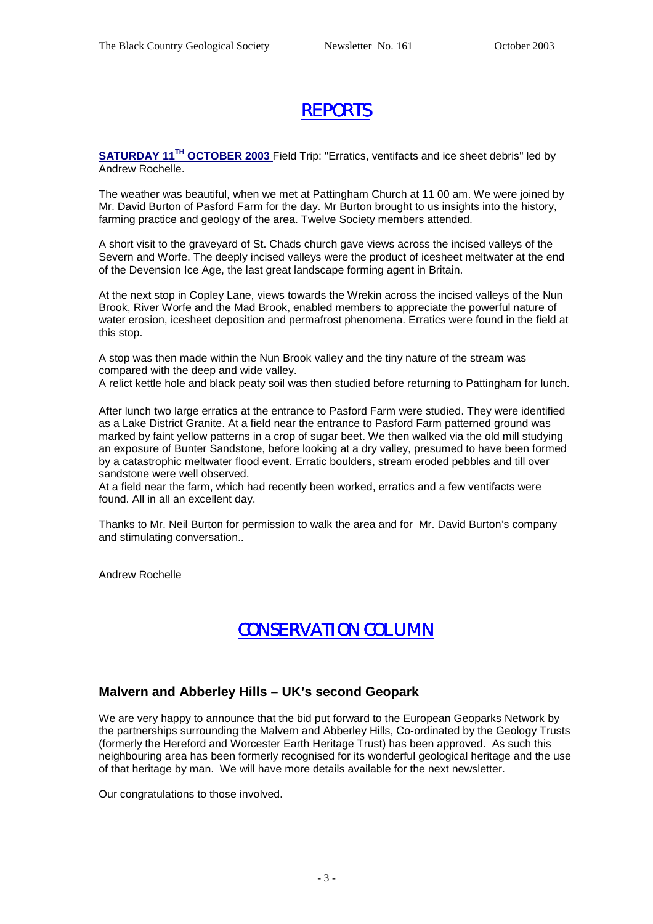# *REPORTS*

**SATURDAY 11TH OCTOBER 2003** Field Trip: "Erratics, ventifacts and ice sheet debris" led by Andrew Rochelle.

The weather was beautiful, when we met at Pattingham Church at 11 00 am. We were joined by Mr. David Burton of Pasford Farm for the day. Mr Burton brought to us insights into the history, farming practice and geology of the area. Twelve Society members attended.

A short visit to the graveyard of St. Chads church gave views across the incised valleys of the Severn and Worfe. The deeply incised valleys were the product of icesheet meltwater at the end of the Devension Ice Age, the last great landscape forming agent in Britain.

At the next stop in Copley Lane, views towards the Wrekin across the incised valleys of the Nun Brook, River Worfe and the Mad Brook, enabled members to appreciate the powerful nature of water erosion, icesheet deposition and permafrost phenomena. Erratics were found in the field at this stop.

A stop was then made within the Nun Brook valley and the tiny nature of the stream was compared with the deep and wide valley.

A relict kettle hole and black peaty soil was then studied before returning to Pattingham for lunch.

After lunch two large erratics at the entrance to Pasford Farm were studied. They were identified as a Lake District Granite. At a field near the entrance to Pasford Farm patterned ground was marked by faint yellow patterns in a crop of sugar beet. We then walked via the old mill studying an exposure of Bunter Sandstone, before looking at a dry valley, presumed to have been formed by a catastrophic meltwater flood event. Erratic boulders, stream eroded pebbles and till over sandstone were well observed.

At a field near the farm, which had recently been worked, erratics and a few ventifacts were found. All in all an excellent day.

Thanks to Mr. Neil Burton for permission to walk the area and for Mr. David Burton's company and stimulating conversation..

Andrew Rochelle

### *CONSERVATION COLUMN*

#### **Malvern and Abberley Hills – UK's second Geopark**

We are very happy to announce that the bid put forward to the European Geoparks Network by the partnerships surrounding the Malvern and Abberley Hills, Co-ordinated by the Geology Trusts (formerly the Hereford and Worcester Earth Heritage Trust) has been approved. As such this neighbouring area has been formerly recognised for its wonderful geological heritage and the use of that heritage by man. We will have more details available for the next newsletter.

Our congratulations to those involved.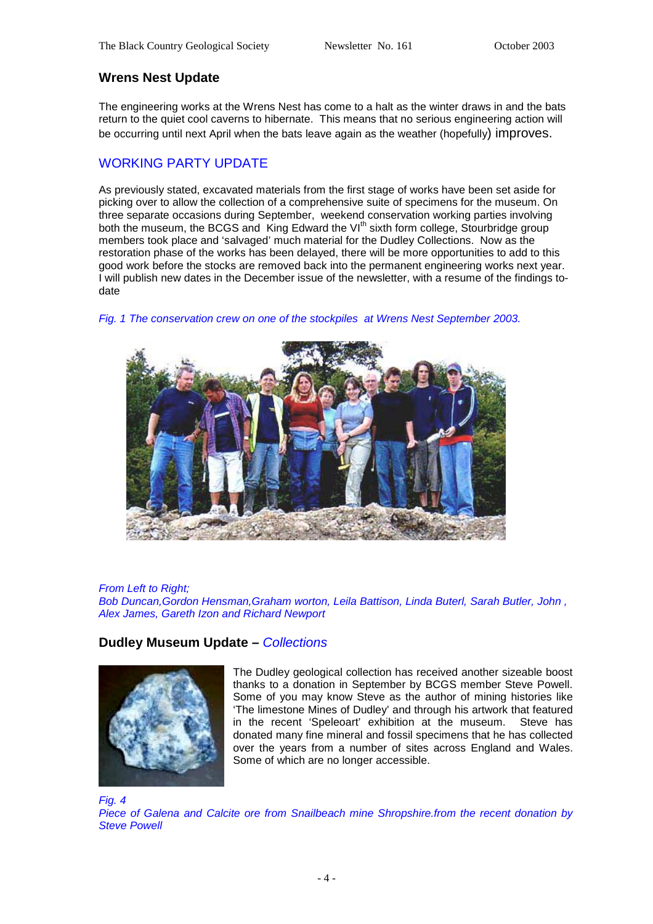#### **Wrens Nest Update**

The engineering works at the Wrens Nest has come to a halt as the winter draws in and the bats return to the quiet cool caverns to hibernate. This means that no serious engineering action will be occurring until next April when the bats leave again as the weather (hopefully) improves.

#### WORKING PARTY UPDATE

As previously stated, excavated materials from the first stage of works have been set aside for picking over to allow the collection of a comprehensive suite of specimens for the museum. On three separate occasions during September, weekend conservation working parties involving both the museum, the BCGS and King Edward the VI<sup>th</sup> sixth form college, Stourbridge group members took place and 'salvaged' much material for the Dudley Collections. Now as the restoration phase of the works has been delayed, there will be more opportunities to add to this good work before the stocks are removed back into the permanent engineering works next year. I will publish new dates in the December issue of the newsletter, with a resume of the findings todate



*Fig. 1 The conservation crew on one of the stockpiles at Wrens Nest September 2003.* 

#### *From Left to Right;*

*Bob Duncan,Gordon Hensman,Graham worton, Leila Battison, Linda Buterl, Sarah Butler, John , Alex James, Gareth Izon and Richard Newport* 

#### **Dudley Museum Update –** *Collections*



The Dudley geological collection has received another sizeable boost thanks to a donation in September by BCGS member Steve Powell. Some of you may know Steve as the author of mining histories like 'The limestone Mines of Dudley' and through his artwork that featured in the recent 'Speleoart' exhibition at the museum. Steve has donated many fine mineral and fossil specimens that he has collected over the years from a number of sites across England and Wales. Some of which are no longer accessible.

*Fig. 4 Piece of Galena and Calcite ore from Snailbeach mine Shropshire.from the recent donation by Steve Powell*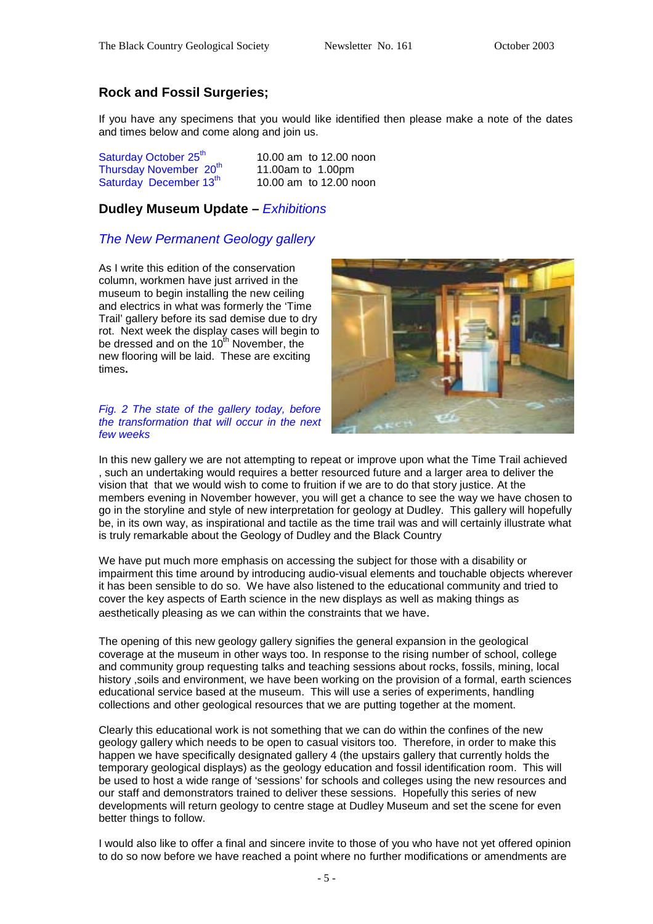#### **Rock and Fossil Surgeries;**

If you have any specimens that you would like identified then please make a note of the dates and times below and come along and join us.

| Saturday October 25 <sup>th</sup>  | 10.00 am to 12.00 noon |
|------------------------------------|------------------------|
| Thursday November 20 <sup>th</sup> | 11.00am to 1.00pm      |
| Saturday December 13th             | 10.00 am to 12.00 noon |

#### **Dudley Museum Update –** *Exhibitions*

#### *The New Permanent Geology gallery*

As I write this edition of the conservation column, workmen have just arrived in the museum to begin installing the new ceiling and electrics in what was formerly the 'Time Trail' gallery before its sad demise due to dry rot. Next week the display cases will begin to be dressed and on the  $10^{th}$  November, the new flooring will be laid. These are exciting times**.** 

*Fig. 2 The state of the gallery today, before the transformation that will occur in the next few weeks* 



In this new gallery we are not attempting to repeat or improve upon what the Time Trail achieved , such an undertaking would requires a better resourced future and a larger area to deliver the vision that that we would wish to come to fruition if we are to do that story justice. At the members evening in November however, you will get a chance to see the way we have chosen to go in the storyline and style of new interpretation for geology at Dudley. This gallery will hopefully be, in its own way, as inspirational and tactile as the time trail was and will certainly illustrate what is truly remarkable about the Geology of Dudley and the Black Country

We have put much more emphasis on accessing the subject for those with a disability or impairment this time around by introducing audio-visual elements and touchable objects wherever it has been sensible to do so. We have also listened to the educational community and tried to cover the key aspects of Earth science in the new displays as well as making things as aesthetically pleasing as we can within the constraints that we have.

The opening of this new geology gallery signifies the general expansion in the geological coverage at the museum in other ways too. In response to the rising number of school, college and community group requesting talks and teaching sessions about rocks, fossils, mining, local history ,soils and environment, we have been working on the provision of a formal, earth sciences educational service based at the museum. This will use a series of experiments, handling collections and other geological resources that we are putting together at the moment.

Clearly this educational work is not something that we can do within the confines of the new geology gallery which needs to be open to casual visitors too. Therefore, in order to make this happen we have specifically designated gallery 4 (the upstairs gallery that currently holds the temporary geological displays) as the geology education and fossil identification room. This will be used to host a wide range of 'sessions' for schools and colleges using the new resources and our staff and demonstrators trained to deliver these sessions. Hopefully this series of new developments will return geology to centre stage at Dudley Museum and set the scene for even better things to follow.

I would also like to offer a final and sincere invite to those of you who have not yet offered opinion to do so now before we have reached a point where no further modifications or amendments are